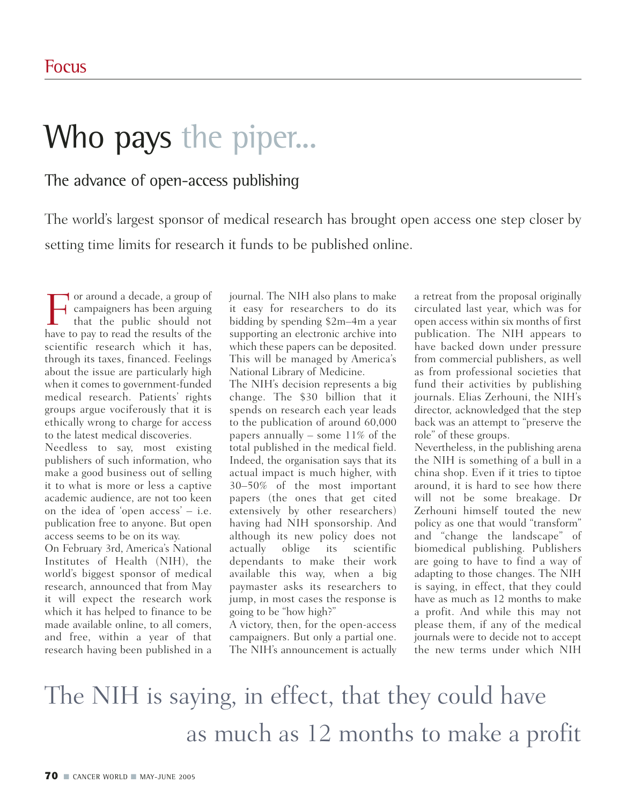## Who pays the piper...

## The advance of open-access publishing

The world's largest sponsor of medical research has brought open access one step closer by setting time limits for research it funds to be published online.

For around a decade, a group of<br>that the public should not<br>have to pay to read the results of the campaigners has been arguing that the public should not have to pay to read the results of the scientific research which it has, through its taxes, financed. Feelings about the issue are particularly high when it comes to government-funded medical research. Patients' rights groups argue vociferously that it is ethically wrong to charge for access to the latest medical discoveries.

Needless to say, most existing publishers of such information, who make a good business out of selling it to what is more or less a captive academic audience, are not too keen on the idea of 'open access' – i.e. publication free to anyone. But open access seems to be on its way.

On February 3rd, America's National Institutes of Health (NIH), the world's biggest sponsor of medical research, announced that from May it will expect the research work which it has helped to finance to be made available online, to all comers, and free, within a year of that research having been published in a

journal. The NIH also plans to make it easy for researchers to do its bidding by spending \$2m–4m a year supporting an electronic archive into which these papers can be deposited. This will be managed by America's National Library of Medicine.

The NIH's decision represents a big change. The \$30 billion that it spends on research each year leads to the publication of around 60,000 papers annually – some  $11\%$  of the total published in the medical field. Indeed, the organisation says that its actual impact is much higher, with 30–50% of the most important papers (the ones that get cited extensively by other researchers) having had NIH sponsorship. And although its new policy does not actually oblige its scientific dependants to make their work available this way, when a big paymaster asks its researchers to jump, in most cases the response is going to be "how high?"

A victory, then, for the open-access campaigners. But only a partial one. The NIH's announcement is actually

a retreat from the proposal originally circulated last year, which was for open access within six months of first publication. The NIH appears to have backed down under pressure from commercial publishers, as well as from professional societies that fund their activities by publishing journals. Elias Zerhouni, the NIH's director, acknowledged that the step back was an attempt to "preserve the role" of these groups.

Nevertheless, in the publishing arena the NIH is something of a bull in a china shop. Even if it tries to tiptoe around, it is hard to see how there will not be some breakage. Dr Zerhouni himself touted the new policy as one that would "transform" and "change the landscape" of biomedical publishing. Publishers are going to have to find a way of adapting to those changes. The NIH is saying, in effect, that they could have as much as 12 months to make a profit. And while this may not please them, if any of the medical journals were to decide not to accept the new terms under which NIH

## The NIH is saying, in effect, that they could have as much as 12 months to make a profit